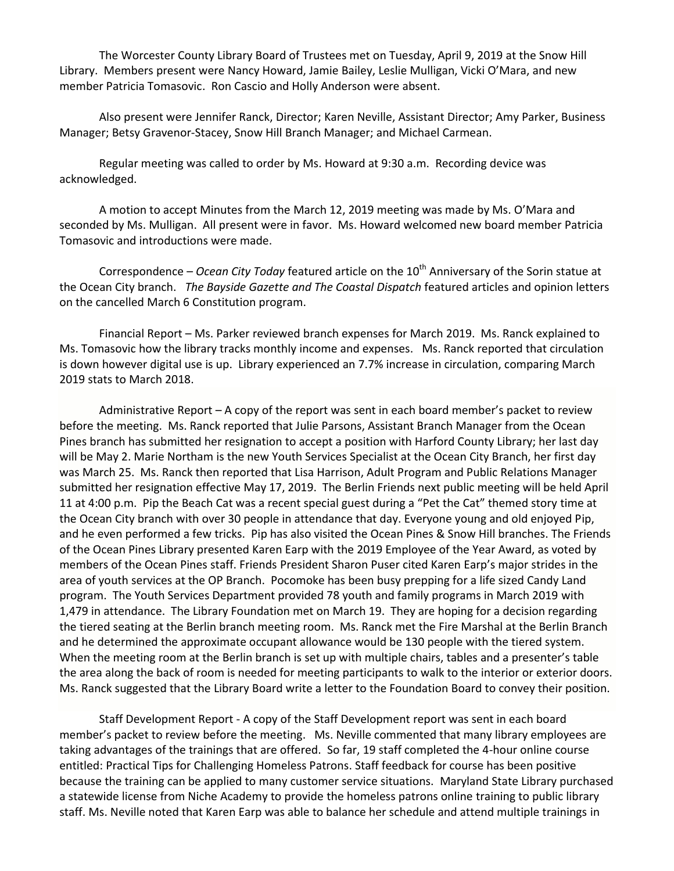The Worcester County Library Board of Trustees met on Tuesday, April 9, 2019 at the Snow Hill Library. Members present were Nancy Howard, Jamie Bailey, Leslie Mulligan, Vicki O'Mara, and new member Patricia Tomasovic. Ron Cascio and Holly Anderson were absent.

Also present were Jennifer Ranck, Director; Karen Neville, Assistant Director; Amy Parker, Business Manager; Betsy Gravenor-Stacey, Snow Hill Branch Manager; and Michael Carmean.

Regular meeting was called to order by Ms. Howard at 9:30 a.m. Recording device was acknowledged.

A motion to accept Minutes from the March 12, 2019 meeting was made by Ms. O'Mara and seconded by Ms. Mulligan. All present were in favor. Ms. Howard welcomed new board member Patricia Tomasovic and introductions were made.

Correspondence – Ocean City Today featured article on the 10<sup>th</sup> Anniversary of the Sorin statue at the Ocean City branch. *The Bayside Gazette and The Coastal Dispatch* featured articles and opinion letters on the cancelled March 6 Constitution program.

Financial Report – Ms. Parker reviewed branch expenses for March 2019. Ms. Ranck explained to Ms. Tomasovic how the library tracks monthly income and expenses. Ms. Ranck reported that circulation is down however digital use is up. Library experienced an 7.7% increase in circulation, comparing March 2019 stats to March 2018.

Administrative Report – A copy of the report was sent in each board member's packet to review before the meeting. Ms. Ranck reported that Julie Parsons, Assistant Branch Manager from the Ocean Pines branch has submitted her resignation to accept a position with Harford County Library; her last day will be May 2. Marie Northam is the new Youth Services Specialist at the Ocean City Branch, her first day was March 25. Ms. Ranck then reported that Lisa Harrison, Adult Program and Public Relations Manager submitted her resignation effective May 17, 2019. The Berlin Friends next public meeting will be held April 11 at 4:00 p.m. Pip the Beach Cat was a recent special guest during a "Pet the Cat" themed story time at the Ocean City branch with over 30 people in attendance that day. Everyone young and old enjoyed Pip, and he even performed a few tricks. Pip has also visited the Ocean Pines & Snow Hill branches. The Friends of the Ocean Pines Library presented Karen Earp with the 2019 Employee of the Year Award, as voted by members of the Ocean Pines staff. Friends President Sharon Puser cited Karen Earp's major strides in the area of youth services at the OP Branch. Pocomoke has been busy prepping for a life sized Candy Land program. The Youth Services Department provided 78 youth and family programs in March 2019 with 1,479 in attendance. The Library Foundation met on March 19. They are hoping for a decision regarding the tiered seating at the Berlin branch meeting room. Ms. Ranck met the Fire Marshal at the Berlin Branch and he determined the approximate occupant allowance would be 130 people with the tiered system. When the meeting room at the Berlin branch is set up with multiple chairs, tables and a presenter's table the area along the back of room is needed for meeting participants to walk to the interior or exterior doors. Ms. Ranck suggested that the Library Board write a letter to the Foundation Board to convey their position.

Staff Development Report - A copy of the Staff Development report was sent in each board member's packet to review before the meeting. Ms. Neville commented that many library employees are taking advantages of the trainings that are offered. So far, 19 staff completed the 4-hour online course entitled: Practical Tips for Challenging Homeless Patrons. Staff feedback for course has been positive because the training can be applied to many customer service situations. Maryland State Library purchased a statewide license from Niche Academy to provide the homeless patrons online training to public library staff. Ms. Neville noted that Karen Earp was able to balance her schedule and attend multiple trainings in